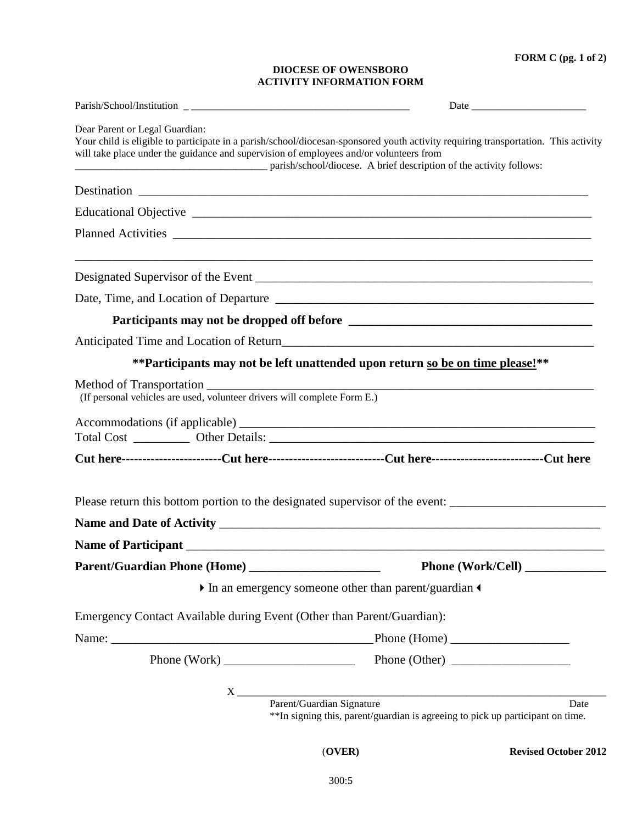**FORM C (pg. 1 of 2)**

## **DIOCESE OF OWENSBORO ACTIVITY INFORMATION FORM**

| Dear Parent or Legal Guardian:<br>will take place under the guidance and supervision of employees and/or volunteers from | Your child is eligible to participate in a parish/school/diocesan-sponsored youth activity requiring transportation. This activity<br>parish/school/diocese. A brief description of the activity follows: |
|--------------------------------------------------------------------------------------------------------------------------|-----------------------------------------------------------------------------------------------------------------------------------------------------------------------------------------------------------|
|                                                                                                                          |                                                                                                                                                                                                           |
|                                                                                                                          |                                                                                                                                                                                                           |
|                                                                                                                          |                                                                                                                                                                                                           |
|                                                                                                                          |                                                                                                                                                                                                           |
|                                                                                                                          |                                                                                                                                                                                                           |
|                                                                                                                          |                                                                                                                                                                                                           |
|                                                                                                                          | Anticipated Time and Location of Return                                                                                                                                                                   |
|                                                                                                                          | ** Participants may not be left unattended upon return so be on time please!**                                                                                                                            |
| (If personal vehicles are used, volunteer drivers will complete Form E.)                                                 |                                                                                                                                                                                                           |
|                                                                                                                          |                                                                                                                                                                                                           |
|                                                                                                                          | Cut here--------------------------Cut here-----------------------------Cut here---------------------------Cut here                                                                                        |
|                                                                                                                          | Please return this bottom portion to the designated supervisor of the event: _________________________________                                                                                            |
|                                                                                                                          |                                                                                                                                                                                                           |
|                                                                                                                          |                                                                                                                                                                                                           |
|                                                                                                                          | Phone (Work/Cell)                                                                                                                                                                                         |
|                                                                                                                          | In an emergency someone other than parent/guardian                                                                                                                                                        |
| Emergency Contact Available during Event (Other than Parent/Guardian):                                                   |                                                                                                                                                                                                           |
|                                                                                                                          |                                                                                                                                                                                                           |
|                                                                                                                          | Phone (Work) Phone (Other) Phone (Other)                                                                                                                                                                  |
|                                                                                                                          | X<br>Parent/Guardian Signature                                                                                                                                                                            |
|                                                                                                                          | Date<br>**In signing this, parent/guardian is agreeing to pick up participant on time.                                                                                                                    |

(**OVER) Revised October 2012**